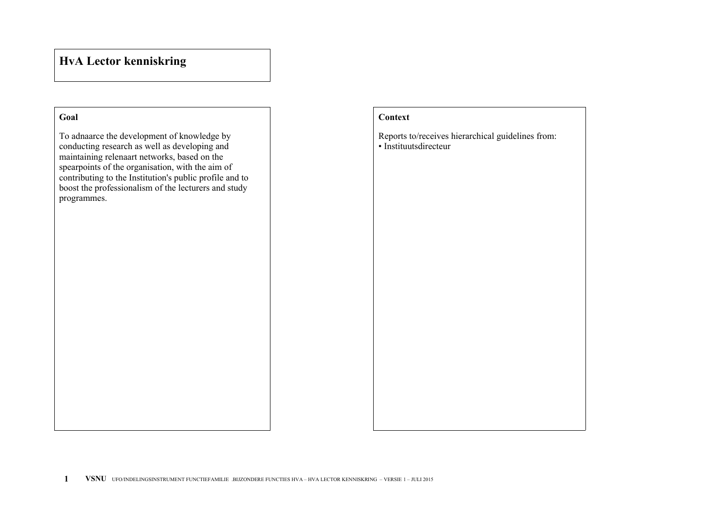## **Goal**

To adnaarce the development of knowledge by conducting research as well as developing and maintaining relenaart networks, based on the spearpoints of the organisation, with the aim of contributing to the Institution's public profile and to boost the professionalism of the lecturers and study programmes.

## **Context**

Reports to/receives hierarchical guidelines from: • Instituutsdirecteur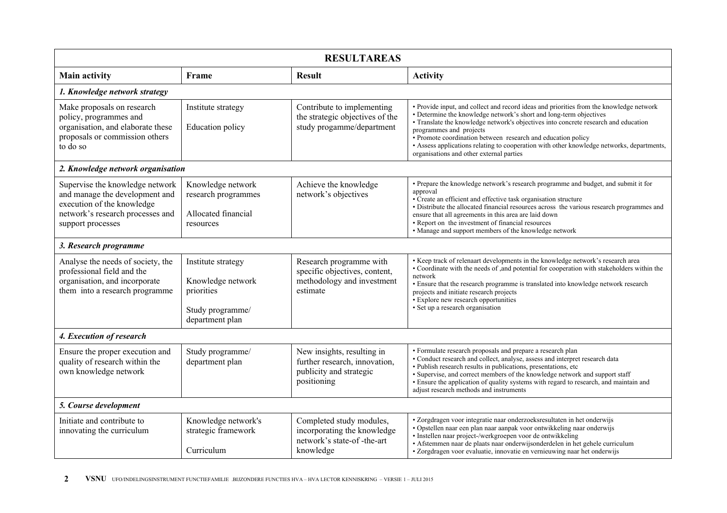| <b>RESULTAREAS</b>                                                                                                                                       |                                                                                              |                                                                                                       |                                                                                                                                                                                                                                                                                                                                                                                                                                                                                          |  |  |
|----------------------------------------------------------------------------------------------------------------------------------------------------------|----------------------------------------------------------------------------------------------|-------------------------------------------------------------------------------------------------------|------------------------------------------------------------------------------------------------------------------------------------------------------------------------------------------------------------------------------------------------------------------------------------------------------------------------------------------------------------------------------------------------------------------------------------------------------------------------------------------|--|--|
| <b>Main activity</b>                                                                                                                                     | Frame                                                                                        | <b>Result</b>                                                                                         | <b>Activity</b>                                                                                                                                                                                                                                                                                                                                                                                                                                                                          |  |  |
| 1. Knowledge network strategy                                                                                                                            |                                                                                              |                                                                                                       |                                                                                                                                                                                                                                                                                                                                                                                                                                                                                          |  |  |
| Make proposals on research<br>policy, programmes and<br>organisation, and elaborate these<br>proposals or commission others<br>to do so                  | Institute strategy<br><b>Education</b> policy                                                | Contribute to implementing<br>the strategic objectives of the<br>study progamme/department            | • Provide input, and collect and record ideas and priorities from the knowledge network<br>• Determine the knowledge network's short and long-term objectives<br>· Translate the knowledge network's objectives into concrete research and education<br>programmes and projects<br>• Promote coordination between research and education policy<br>• Assess applications relating to cooperation with other knowledge networks, departments,<br>organisations and other external parties |  |  |
| 2. Knowledge network organisation                                                                                                                        |                                                                                              |                                                                                                       |                                                                                                                                                                                                                                                                                                                                                                                                                                                                                          |  |  |
| Supervise the knowledge network<br>and manage the development and<br>execution of the knowledge<br>network's research processes and<br>support processes | Knowledge network<br>research programmes<br>Allocated financial<br>resources                 | Achieve the knowledge<br>network's objectives                                                         | • Prepare the knowledge network's research programme and budget, and submit it for<br>approval<br>• Create an efficient and effective task organisation structure<br>· Distribute the allocated financial resources across the various research programmes and<br>ensure that all agreements in this area are laid down<br>• Report on the investment of financial resources<br>• Manage and support members of the knowledge network                                                    |  |  |
| 3. Research programme                                                                                                                                    |                                                                                              |                                                                                                       |                                                                                                                                                                                                                                                                                                                                                                                                                                                                                          |  |  |
| Analyse the needs of society, the<br>professional field and the<br>organisation, and incorporate<br>them into a research programme                       | Institute strategy<br>Knowledge network<br>priorities<br>Study programme/<br>department plan | Research programme with<br>specific objectives, content,<br>methodology and investment<br>estimate    | • Keep track of relenaart developments in the knowledge network's research area<br>• Coordinate with the needs of ,and potential for cooperation with stakeholders within the<br>network<br>• Ensure that the research programme is translated into knowledge network research<br>projects and initiate research projects<br>• Explore new research opportunities<br>· Set up a research organisation                                                                                    |  |  |
| 4. Execution of research                                                                                                                                 |                                                                                              |                                                                                                       |                                                                                                                                                                                                                                                                                                                                                                                                                                                                                          |  |  |
| Ensure the proper execution and<br>quality of research within the<br>own knowledge network                                                               | Study programme/<br>department plan                                                          | New insights, resulting in<br>further research, innovation,<br>publicity and strategic<br>positioning | · Formulate research proposals and prepare a research plan<br>· Conduct research and collect, analyse, assess and interpret research data<br>· Publish research results in publications, presentations, etc<br>· Supervise, and correct members of the knowledge network and support staff<br>• Ensure the application of quality systems with regard to research, and maintain and<br>adjust research methods and instruments                                                           |  |  |
| 5. Course development                                                                                                                                    |                                                                                              |                                                                                                       |                                                                                                                                                                                                                                                                                                                                                                                                                                                                                          |  |  |
| Initiate and contribute to<br>innovating the curriculum                                                                                                  | Knowledge network's<br>strategic framework<br>Curriculum                                     | Completed study modules,<br>incorporating the knowledge<br>network's state-of-the-art<br>knowledge    | • Zorgdragen voor integratie naar onderzoeksresultaten in het onderwijs<br>· Opstellen naar een plan naar aanpak voor ontwikkeling naar onderwijs<br>· Instellen naar project-/werkgroepen voor de ontwikkeling<br>· Afstemmen naar de plaats naar onderwijsonderdelen in het gehele curriculum<br>· Zorgdragen voor evaluatie, innovatie en vernieuwing naar het onderwijs                                                                                                              |  |  |

**2 VSNU** UFO/INDELINGSINSTRUMENT FUNCTIEFAMILIE .BIJZONDERE FUNCTIES HVA – HVA LECTOR KENNISKRING – VERSIE 1 – JULI 2015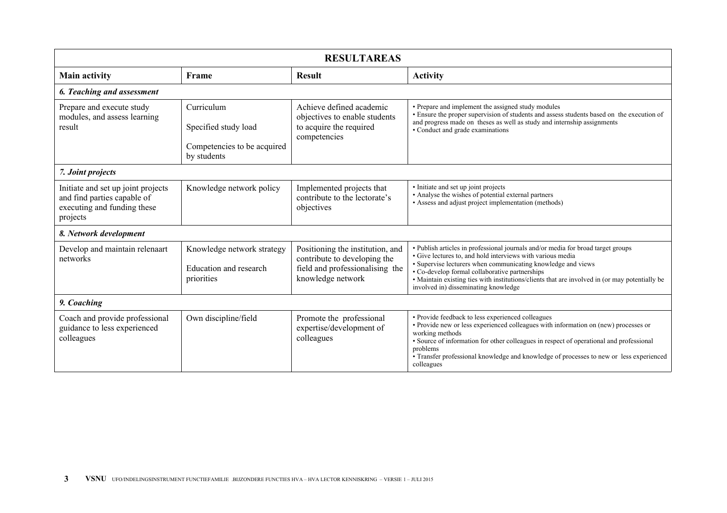| <b>RESULTAREAS</b>                                                                                           |                                                                                  |                                                                                                                          |                                                                                                                                                                                                                                                                                                                                                                                                            |  |  |
|--------------------------------------------------------------------------------------------------------------|----------------------------------------------------------------------------------|--------------------------------------------------------------------------------------------------------------------------|------------------------------------------------------------------------------------------------------------------------------------------------------------------------------------------------------------------------------------------------------------------------------------------------------------------------------------------------------------------------------------------------------------|--|--|
| <b>Main activity</b>                                                                                         | Frame                                                                            | <b>Result</b>                                                                                                            | <b>Activity</b>                                                                                                                                                                                                                                                                                                                                                                                            |  |  |
| 6. Teaching and assessment                                                                                   |                                                                                  |                                                                                                                          |                                                                                                                                                                                                                                                                                                                                                                                                            |  |  |
| Prepare and execute study<br>modules, and assess learning<br>result                                          | Curriculum<br>Specified study load<br>Competencies to be acquired<br>by students | Achieve defined academic<br>objectives to enable students<br>to acquire the required<br>competencies                     | • Prepare and implement the assigned study modules<br>• Ensure the proper supervision of students and assess students based on the execution of<br>and progress made on theses as well as study and internship assignments<br>• Conduct and grade examinations                                                                                                                                             |  |  |
| 7. Joint projects                                                                                            |                                                                                  |                                                                                                                          |                                                                                                                                                                                                                                                                                                                                                                                                            |  |  |
| Initiate and set up joint projects<br>and find parties capable of<br>executing and funding these<br>projects | Knowledge network policy                                                         | Implemented projects that<br>contribute to the lectorate's<br>objectives                                                 | • Initiate and set up joint projects<br>• Analyse the wishes of potential external partners<br>• Assess and adjust project implementation (methods)                                                                                                                                                                                                                                                        |  |  |
| 8. Network development                                                                                       |                                                                                  |                                                                                                                          |                                                                                                                                                                                                                                                                                                                                                                                                            |  |  |
| Develop and maintain relenaart<br>networks                                                                   | Knowledge network strategy<br>Education and research<br>priorities               | Positioning the institution, and<br>contribute to developing the<br>field and professionalising the<br>knowledge network | · Publish articles in professional journals and/or media for broad target groups<br>• Give lectures to, and hold interviews with various media<br>• Supervise lecturers when communicating knowledge and views<br>• Co-develop formal collaborative partnerships<br>• Maintain existing ties with institutions/clients that are involved in (or may potentially be<br>involved in) disseminating knowledge |  |  |
| 9. Coaching                                                                                                  |                                                                                  |                                                                                                                          |                                                                                                                                                                                                                                                                                                                                                                                                            |  |  |
| Coach and provide professional<br>guidance to less experienced<br>colleagues                                 | Own discipline/field                                                             | Promote the professional<br>expertise/development of<br>colleagues                                                       | • Provide feedback to less experienced colleagues<br>• Provide new or less experienced colleagues with information on (new) processes or<br>working methods<br>• Source of information for other colleagues in respect of operational and professional<br>problems<br>• Transfer professional knowledge and knowledge of processes to new or less experienced<br>colleagues                                |  |  |